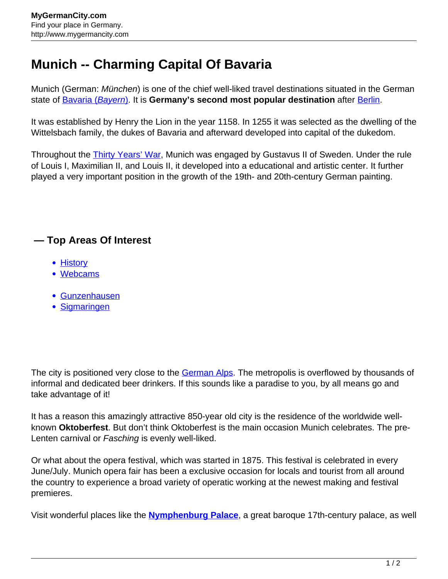## **Munich -- Charming Capital Of Bavaria**

Munich (German: *München*) is one of the chief well-liked travel destinations situated in the German state of [Bavaria \(](http://www.mygermancity.com/bavaria)[Bayern](http://www.mygermancity.com/bavaria)[\)](http://www.mygermancity.com/bavaria). It is **Germany's second most popular destination** after [Berlin](http://www.mygermancity.com/berlin).

It was established by Henry the Lion in the year 1158. In 1255 it was selected as the dwelling of the Wittelsbach family, the dukes of Bavaria and afterward developed into capital of the dukedom.

Throughout the [Thirty Years' War,](http://www.mygermancity.com/thirty-years-war) Munich was engaged by Gustavus II of Sweden. Under the rule of Louis I, Maximilian II, and Louis II, it developed into a educational and artistic center. It further played a very important position in the growth of the 19th- and 20th-century German painting.

## **— Top Areas Of Interest**

- [History](http://www.mygermancity.com/leipzig-history)
- [Webcams](http://www.mygermancity.com/neustadt-holstein-webcams)
- [Gunzenhausen](http://www.mygermancity.com/gunzenhausen)
- [Sigmaringen](http://www.mygermancity.com/sigmaringen)

The city is positioned very close to the [German Alps.](http://www.mygermancity.com/german-alps) The metropolis is overflowed by thousands of informal and dedicated beer drinkers. If this sounds like a paradise to you, by all means go and take advantage of it!

It has a reason this amazingly attractive 850-year old city is the residence of the worldwide wellknown **Oktoberfest**. But don't think Oktoberfest is the main occasion Munich celebrates. The pre-Lenten carnival or Fasching is evenly well-liked.

Or what about the opera festival, which was started in 1875. This festival is celebrated in every June/July. Munich opera fair has been a exclusive occasion for locals and tourist from all around the country to experience a broad variety of operatic working at the newest making and festival premieres.

Visit wonderful places like the **[Nymphenburg Palace](http://www.mygermancity.com/nymphenburg-palace)**, a great baroque 17th-century palace, as well